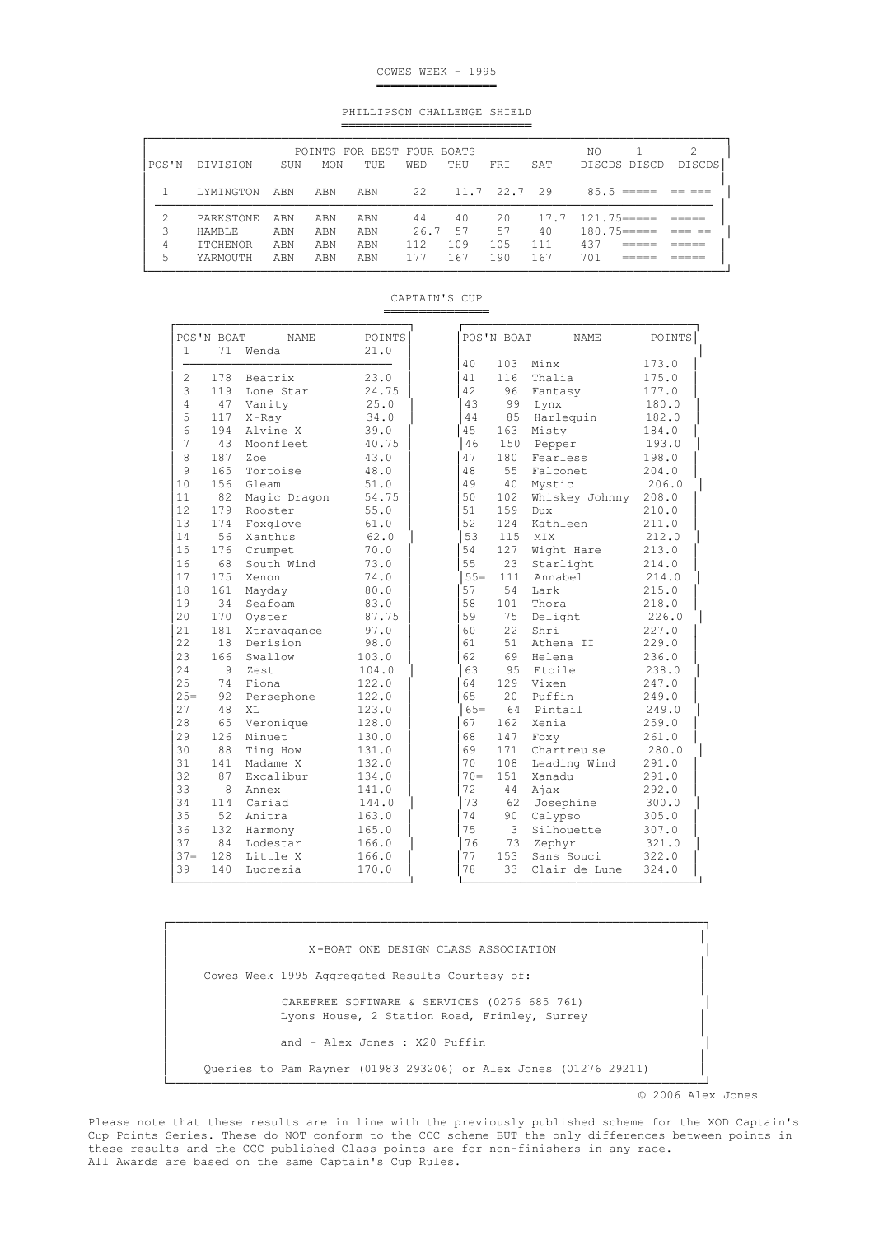#### COWES WEEK - 1995 ═══════════════════════════

PHILLIPSON CHALLENGE SHIELD ═══════════════════════════

| $11.7$ $22.7$ $29$<br>22<br>85.5<br>LYMINGTON<br>ABN<br>ABN<br>ABN<br>$17.7$ $121.75 ==$<br>2.0<br>40<br>PARKSTONE<br>44<br>ABN<br>ABN<br>ABN<br>40<br>57<br>$180.75 == ==$<br>3<br>26.7<br>57<br>ABN<br>ABN<br>ABN<br><b>HAMBLE</b><br>437<br>109<br>105<br>111<br>112<br>4<br><b>ITCHENOR</b><br>ABN<br>ABN<br>ABN | POS'N | DIVISION | SUN | MON | POINTS FOR BEST FOUR BOATS<br>TUE. | <b>WED</b> | THU | <b>FRT</b> | SAT | NO.<br>DISCDS DISCD | 2<br>DISCDS |
|----------------------------------------------------------------------------------------------------------------------------------------------------------------------------------------------------------------------------------------------------------------------------------------------------------------------|-------|----------|-----|-----|------------------------------------|------------|-----|------------|-----|---------------------|-------------|
|                                                                                                                                                                                                                                                                                                                      |       |          |     |     |                                    |            |     |            |     |                     |             |
|                                                                                                                                                                                                                                                                                                                      |       |          |     |     |                                    |            |     |            |     |                     |             |
|                                                                                                                                                                                                                                                                                                                      |       |          |     |     |                                    |            |     |            |     |                     |             |
|                                                                                                                                                                                                                                                                                                                      |       |          |     |     |                                    |            |     |            |     |                     |             |
|                                                                                                                                                                                                                                                                                                                      | 5     | YARMOUTH | ABN | ABN | ABN                                | 177        | 167 | 190        | 167 | 701                 |             |

| $\mathbf{1}$   | POS'N BOAT<br>71 | <b>NAME</b><br>Wenda | POINTS<br>21.0 |
|----------------|------------------|----------------------|----------------|
|                |                  |                      |                |
| $\overline{2}$ | 178              | Beatrix              | 23.0           |
| 3              | 119              | Lone Star            | 24.75          |
| $\overline{4}$ | 47               | Vanity               | 25.0           |
| 5              | 117              | $X$ -Ray             | 34.0           |
| 6              | 194              | Alvine X             | 39.0           |
| 7              | 43               | Moonfleet            | 40.75          |
| 8              | 187              | Zoe                  | 43.0           |
| 9              | 165              | Tortoise             | 48.0           |
| 10             | 156              | Gleam                | 51.0           |
| 11             | 82               | Magic Dragon         | 54.75          |
| 12             | 179              | Rooster              | 55.0           |
| 13             | 174              | Foxglove             | 61.0           |
| 14             | 56               | Xanthus              | 62.0           |
| 15             | 176              | Crumpet              | 70.0           |
| 16             | 68               | South Wind           | 73.0           |
| 17             | 175              | Xenon                | 74.0           |
| 18             | 161              | Mayday               | 80.0           |
| 19             | 34               | Seafoam              | 83.0           |
| 20             | 170              | Oyster               | 87.75          |
| 21             | 181              | Xtravagance          | 97.0           |
| 22             | 18               | Derision             | 98.0           |
| 23             | 166              | Swallow              | 103.0          |
| 24             | 9                | Zest                 | 104.0          |
| 25             | 74               | Fiona                | 122.0          |
| $25=$          | 92               | Persephone           | 122.0          |
| 27             | 48               | XL                   | 123.0          |
| 28             | 65               | Veronique            | 128.0          |
| 29             | 126              | Minuet               | 130.0          |
| 30             | 88               | Ting How             | 131.0          |
| 31             | 141              | Madame X             | 132.0          |
| 32             | 87               | Excalibur            | 134.0          |
| 33             | 8                | Annex                | 141.0          |
| 34             | 114              | Cariad               | 144.0          |
| 35             | 52               | Anitra               | 163.0          |
| 36             | 132              | Harmony              | 165.0          |
| 37             | 84               | Lodestar             | 166.0          |
| $37 -$         | 128              | Little X             | 166.0          |
| 39             | 140              |                      |                |
|                |                  | Lucrezia             | 170.0          |

CAPTAIN'S CUP ═════════════════════════

│ │ │ X-BOAT ONE DESIGN CLASS ASSOCIATION │ │ │ Cowes Week 1995 Aggregated Results Courtesy of: │ │ │ CAREFREE SOFTWARE & SERVICES (0276 685 761) Lyons House, 2 Station Road, Frimley, Surrey │ │ and - Alex Jones : X20 Puffin │ │ │ │ Queries to Pam Rayner (01983 293206) or Alex Jones (01276 29211) │ │ └────────────────────────────────────────────────────────────────────────────┘

└─────────────────────────────────┘ └─────────────────────────────────┘

┌────────────────────────────────────────────────────────────────────────────┐

© 2006 Alex Jones

 Please note that these results are in line with the previously published scheme for the XOD Captain's Cup Points Series. These do NOT conform to the CCC scheme BUT the only differences between points in these results and the CCC published Class points are for non-finishers in any race. All Awards are based on the same Captain's Cup Rules.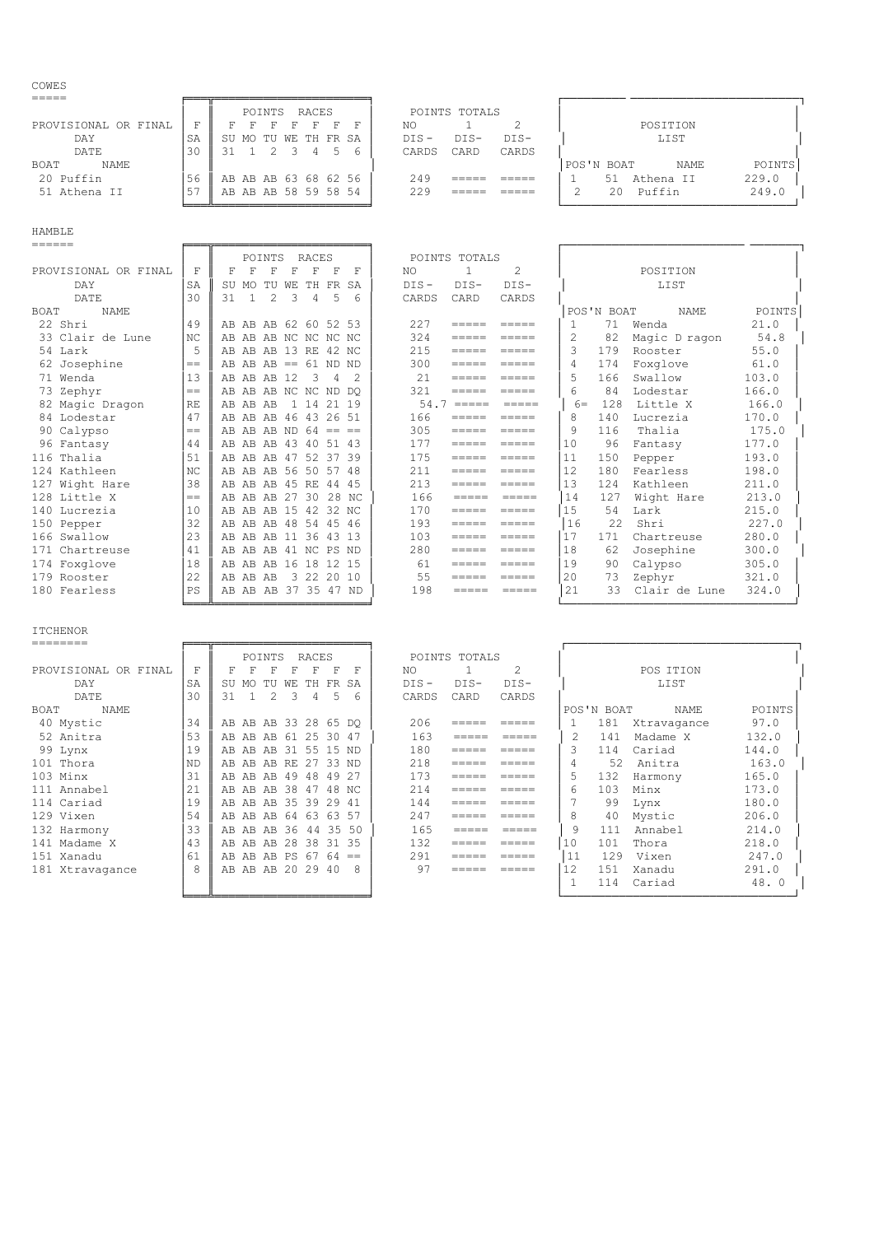## COWES

|                      |    |                      | POINTS | RACES |     |  |         | POINTS TOTALS |        |            |    |           |             |        |
|----------------------|----|----------------------|--------|-------|-----|--|---------|---------------|--------|------------|----|-----------|-------------|--------|
| PROVISIONAL OR FINAL |    |                      |        |       |     |  | NO.     |               |        |            |    | POSITION  |             |        |
| DAY                  | SA | SU MO TU WE TH FR SA |        |       |     |  | $DTS -$ | $DTS-$        | $DTS-$ |            |    | LIST      |             |        |
| DATE                 | 30 |                      |        | 4     | - 5 |  | CARDS   | CARD          | CARDS  |            |    |           |             |        |
| <b>BOAT</b><br>NAME  |    |                      |        |       |     |  |         |               |        | POS'N BOAT |    |           | <b>NAME</b> | POINTS |
| 20 Puffin            | 56 | AB AB AB 63 68 62 56 |        |       |     |  | 249     |               |        |            | 51 | Athena II |             | 229.0  |
| 51 Athena II         |    | AB AB AB 58 59 58 54 |        |       |     |  | 229     |               |        |            | 20 | Puffin    |             | 249.0  |
|                      |    |                      |        |       |     |  |         |               |        |            |    |           |             |        |

HAMBLE

| ======               |      |                                                                        |                                                                                                                                                                                                                                                                                                                                                                                                                                                                                                                  |                                         |  |
|----------------------|------|------------------------------------------------------------------------|------------------------------------------------------------------------------------------------------------------------------------------------------------------------------------------------------------------------------------------------------------------------------------------------------------------------------------------------------------------------------------------------------------------------------------------------------------------------------------------------------------------|-----------------------------------------|--|
|                      |      | <b>RACES</b><br>POINTS                                                 | POINTS TOTALS                                                                                                                                                                                                                                                                                                                                                                                                                                                                                                    |                                         |  |
| PROVISIONAL OR FINAL | F    | F<br>F<br>F<br>F<br>F<br>F<br>F                                        | $\mathfrak{D}$<br>NO.<br>-1                                                                                                                                                                                                                                                                                                                                                                                                                                                                                      | POSITION                                |  |
| DAY                  | SA   | SU<br>TH<br>FR<br>MO<br>TU WE<br>SA                                    | $DIS -$<br>$DIS-$<br>DIS-                                                                                                                                                                                                                                                                                                                                                                                                                                                                                        | LIST                                    |  |
| DATE                 | 30   | $\overline{1}$<br>$\mathcal{L}$<br>3<br>5<br>31<br>$\overline{4}$<br>6 | CARD<br>CARDS<br>CARDS                                                                                                                                                                                                                                                                                                                                                                                                                                                                                           |                                         |  |
| <b>NAME</b><br>BOAT  |      |                                                                        |                                                                                                                                                                                                                                                                                                                                                                                                                                                                                                                  | POS'N BOAT<br>POINTS<br><b>NAME</b>     |  |
| 22 Shri              | 49   | AB AB AB 62 60 52 53                                                   | 227<br>$=$ $=$ $=$ $=$<br>$=$ $=$ $=$ $=$                                                                                                                                                                                                                                                                                                                                                                                                                                                                        | 21.0<br>71<br>$\mathbf{1}$<br>Wenda     |  |
| 33 Clair de Lune     | NC   | AB AB AB NC NC NC NC                                                   | 324<br>$=====$<br>=====                                                                                                                                                                                                                                                                                                                                                                                                                                                                                          | 54.8<br>2<br>82<br>Magic D ragon        |  |
| 54 Lark              | 5    | AB AB 13 RE 42 NC<br>AB.                                               | 215<br>$=$ $=$ $=$ $=$<br>=====                                                                                                                                                                                                                                                                                                                                                                                                                                                                                  | $\mathcal{L}$<br>179<br>55.0<br>Rooster |  |
| 62 Josephine         | $==$ | $AB$ $AB == 61$ ND<br>ND<br>AB                                         | 300<br>$=$ $=$ $=$ $=$<br>$=====$                                                                                                                                                                                                                                                                                                                                                                                                                                                                                | 61.0<br>174<br>4<br>Foxglove            |  |
| 71 Wenda             | 13   | AB<br>AB 12<br>-3<br>4<br>- 2<br>AB.                                   | 2.1<br>$=$ $=$ $=$ $=$<br>$=$ $=$ $=$ $=$                                                                                                                                                                                                                                                                                                                                                                                                                                                                        | 5<br>103.0<br>166<br>Swallow            |  |
| 73 Zephyr            | $==$ | AB AB NC NC ND<br>DO.<br>AB.                                           | 321<br>$\qquad \qquad =\qquad \qquad =\qquad$<br>$=$ $=$ $=$ $=$                                                                                                                                                                                                                                                                                                                                                                                                                                                 | 84<br>Lodestar<br>166.0<br>6            |  |
| 82 Magic Dragon      | RE   | 1 14 21 19<br>AB AB<br>AB.                                             | 54.7<br>$\qquad \qquad =\qquad \qquad =\qquad$<br>$\qquad \qquad \equiv \equiv \equiv \equiv \equiv$                                                                                                                                                                                                                                                                                                                                                                                                             | 128<br>Little X<br>166.0<br>$6=$        |  |
| 84 Lodestar          | 47   | AB AB 46 43 26<br>51<br>AB.                                            | 166<br>$=$ $=$ $=$ $=$<br>$=$ $=$ $=$ $=$                                                                                                                                                                                                                                                                                                                                                                                                                                                                        | 140<br>170.0<br>8<br>Lucrezia           |  |
| 90 Calypso           | $==$ | AB AB AB ND $64 ==$<br>$=$                                             | 305<br>$=$ $=$ $=$ $=$<br>$=$ $=$ $=$ $=$                                                                                                                                                                                                                                                                                                                                                                                                                                                                        | 175.0<br>9<br>116<br>Thalia             |  |
| 96 Fantasy           | 44   | AB AB AB 43 40 51 43                                                   | 177<br>$=$ $=$ $=$ $=$<br>$=====$                                                                                                                                                                                                                                                                                                                                                                                                                                                                                | 10<br>177.0<br>96<br>Fantasy            |  |
| 116 Thalia           | 51   | 39<br>52 37<br>AB<br>AB AB<br>47                                       | 175<br>$=$ $=$ $=$ $=$<br>$=====$                                                                                                                                                                                                                                                                                                                                                                                                                                                                                | 193.0<br>11<br>150<br>Pepper            |  |
| 124 Kathleen         | NC   | AB AB 56 50 57<br>48<br>AB                                             | 211<br>$=====$<br>$=$ $=$ $=$ $=$                                                                                                                                                                                                                                                                                                                                                                                                                                                                                | 12<br>180<br>198.0<br>Fearless          |  |
| 127 Wight Hare       | 38   | AB AB 45 RE<br>AB<br>44<br>-4.5                                        | 213<br>$=$ $=$ $=$ $=$<br>$=$ $=$ $=$ $=$                                                                                                                                                                                                                                                                                                                                                                                                                                                                        | 13<br>211.0<br>124<br>Kathleen          |  |
| 128 Little X         | $==$ | 28 NC<br>27 30<br>AB<br>AB<br>AB.                                      | 166<br>=====<br>$\qquad \qquad \equiv \equiv \equiv \equiv \equiv$                                                                                                                                                                                                                                                                                                                                                                                                                                               | 14<br>127<br>Wight Hare<br>213.0        |  |
| 140 Lucrezia         | 10   | AB AB 15 42<br>32<br>ΝC<br>AB.                                         | 170<br>$\begin{array}{cccccccccc} \multicolumn{2}{c}{} & \multicolumn{2}{c}{} & \multicolumn{2}{c}{} & \multicolumn{2}{c}{} & \multicolumn{2}{c}{} & \multicolumn{2}{c}{} & \multicolumn{2}{c}{} & \multicolumn{2}{c}{} & \multicolumn{2}{c}{} & \multicolumn{2}{c}{} & \multicolumn{2}{c}{} & \multicolumn{2}{c}{} & \multicolumn{2}{c}{} & \multicolumn{2}{c}{} & \multicolumn{2}{c}{} & \multicolumn{2}{c}{} & \multicolumn{2}{c}{} & \multicolumn{2}{c}{} & \multicolumn{2}{c}{} & \mult$<br>$=$ $=$ $=$ $=$ | 15<br>54<br>215.0<br>Lark               |  |
| 150 Pepper           | 32   | AB AB 48 54 45<br>46<br>AB.                                            | 193<br>$=$ $=$ $=$ $=$<br>$------$                                                                                                                                                                                                                                                                                                                                                                                                                                                                               | 16<br>22<br>Shri<br>227.0               |  |
| 166 Swallow          | 23   | AB AB 11 36 43<br>13<br>AB.                                            | 103<br>$=$ $=$ $=$ $=$<br>$=$ $=$ $=$ $=$                                                                                                                                                                                                                                                                                                                                                                                                                                                                        | 17<br>280.0<br>171<br>Chartreuse        |  |
| 171<br>Chartreuse    | 41   | AB AB AB 41 NC PS<br>ND.                                               | 280<br>$=$ $=$ $=$ $=$<br>$=$ $=$ $=$ $=$                                                                                                                                                                                                                                                                                                                                                                                                                                                                        | 18<br>300.0<br>62<br>Josephine          |  |
| 174 Foxglove         | 18   | AB AB 16 18 12 15<br>AB.                                               | 61<br>$=====$<br>$=====$                                                                                                                                                                                                                                                                                                                                                                                                                                                                                         | 19<br>305.0<br>90<br>Calypso            |  |
| 179 Rooster          | 22   | 3 22 20 10<br>AB AB AB                                                 | 55<br>$\begin{array}{cccccccccc} \multicolumn{2}{c}{} & \multicolumn{2}{c}{} & \multicolumn{2}{c}{} & \multicolumn{2}{c}{} & \multicolumn{2}{c}{} & \multicolumn{2}{c}{} & \multicolumn{2}{c}{} & \multicolumn{2}{c}{} & \multicolumn{2}{c}{} & \multicolumn{2}{c}{} & \multicolumn{2}{c}{} & \multicolumn{2}{c}{} & \multicolumn{2}{c}{} & \multicolumn{2}{c}{} & \multicolumn{2}{c}{} & \multicolumn{2}{c}{} & \multicolumn{2}{c}{} & \multicolumn{2}{c}{} & \multicolumn{2}{c}{} & \mult$                     | 20<br>73<br>321.0<br>Zephyr             |  |

|                            |           |                        | POINTS         |               | RACES    |                |         | POINTS TOTALS   |                                          |               |            |               |        |  |  |
|----------------------------|-----------|------------------------|----------------|---------------|----------|----------------|---------|-----------------|------------------------------------------|---------------|------------|---------------|--------|--|--|
| PROVISIONAL OR FINAL       | F         | F<br>F                 | F              | F             | F        | F<br>F         | NO      | -1              | $\mathfrak{D}$                           |               |            | POSITION      |        |  |  |
| DAY                        | SA        | SU MO                  | TU             | WЕ            | FR<br>TH | SA             | $DIS -$ | $DIS-$          | $DIS-$                                   |               |            | LIST          |        |  |  |
| DATE                       | 30        | 31<br>$\mathbf{1}$     | $\mathfrak{D}$ | $\mathcal{L}$ | 4        | 5<br>6         | CARDS   | CARD            | CARDS                                    |               |            |               |        |  |  |
| <b>BOAT</b><br><b>NAME</b> |           |                        |                |               |          |                |         |                 |                                          |               | POS'N BOAT | <b>NAME</b>   | POINTS |  |  |
| 22 Shri                    | 49        | AB AB AB 62 60 52 53   |                |               |          |                | 227     | $=$ $=$ $=$ $=$ | $=$ $=$ $=$ $=$                          |               | 71         | Wenda         | 21.0   |  |  |
| 33 Clair de Lune           | NC.       | AB AB AB NC NC NC NC   |                |               |          |                | 324     | $=$ $=$ $=$ $=$ | $=$ $=$ $=$ $=$                          | $\mathcal{L}$ | 82         | Magic D ragon | 54.8   |  |  |
| 54 Lark                    | 5         | AB AB AB 13 RE 42 NC   |                |               |          |                | 215     | $=$ $=$ $=$ $=$ | $\qquad \qquad = \qquad \qquad = \qquad$ | 3             | 179        | Rooster       | 55.0   |  |  |
| 62 Josephine               | $==$      | AB AB AB $== 61$ ND ND |                |               |          |                | 300     | $=$ $=$ $=$ $=$ | $\qquad \qquad =\qquad \qquad =\qquad$   | 4             | 174        | Foxglove      | 61.0   |  |  |
| 71 Wenda                   | 13        | AB AB AB 12            |                |               | -3       | $\overline{4}$ | 2.1     | $=$ $=$ $=$ $=$ | $\qquad \qquad = \qquad \qquad = \qquad$ | 5             | 166        | Swallow       | 103.0  |  |  |
| 73 Zephyr                  | $==$      | AB AB AB NC NC ND DO   |                |               |          |                | 321     | -----           | $\qquad \qquad =\qquad \qquad =\qquad$   | 6             | 84         | Lodestar      | 166.0  |  |  |
| 82 Magic Dragon            | <b>RE</b> | AB AB AB               |                |               |          | 1 14 21 19     | 54.7    | $=$ $=$ $=$ $=$ | ______                                   | $6=$          | 128        | Little X      | 166.0  |  |  |
| 84 Lodestar                | 47        | AB AB AB 46 43 26 51   |                |               |          |                | 166     | $=$ $=$ $=$ $=$ | $\qquad \qquad =\qquad \qquad =\qquad$   | 8             | 140        | Lucrezia      | 170.0  |  |  |
| 90 Calypso                 | $=$       | AB AB AB ND $64 ==$    |                |               |          |                | 305     | $=$ $=$ $=$ $=$ | $\qquad \qquad =\qquad \qquad =\qquad$   | 9             | 116        | Thalia        | 175.0  |  |  |
| 96 Fantasy                 | 44        | AB AB AB 43 40 51 43   |                |               |          |                | 177     | $=$ $=$ $=$ $=$ | $\qquad \qquad =\qquad \qquad =\qquad$   | 10            | 96         | Fantasy       | 177.0  |  |  |
| 116 Thalia                 | 51        | AB AB AB 47 52 37 39   |                |               |          |                | 175     | $=$ $=$ $=$ $=$ | $=$ $=$ $=$ $=$                          | 11            | 150        | Pepper        | 193.0  |  |  |
| 124 Kathleen               | NC        | AB AB AB 56 50 57 48   |                |               |          |                | 211     |                 | $\qquad \qquad = \qquad \qquad = \qquad$ | 12            | 180        | Fearless      | 198.0  |  |  |
| 127 Wight Hare             | 38        | AB AB AB 45 RE 44 45   |                |               |          |                | 213     | $=$ $=$ $=$ $=$ | $=$ $=$ $=$ $=$                          | 13            | 124        | Kathleen      | 211.0  |  |  |
| 128 Little X               | $=$       | AB AB AB 27 30 28 NC   |                |               |          |                | 166     | $=$ $=$ $=$ $=$ | $=$ $=$ $=$ $=$                          | 14            | 127        | Wight Hare    | 213.0  |  |  |
| 140 Lucrezia               | 10        | AB AB AB 15 42 32 NC   |                |               |          |                | 170     | $=$ $=$ $=$ $=$ | $=$ $=$ $=$ $=$                          | 15            | 54         | Lark          | 215.0  |  |  |
| 150 Pepper                 | 32        | AB AB AB 48 54 45 46   |                |               |          |                | 193     |                 | $\qquad \qquad = \qquad \qquad = \qquad$ | 16            | 22         | Shri          | 227.0  |  |  |
| 166 Swallow                | 2.3       | AB AB AB 11 36 43 13   |                |               |          |                | 103     | $=$ $=$ $=$ $=$ | $=$ $=$ $=$ $=$                          | 17            | 171        | Chartreuse    | 280.0  |  |  |
| 171 Chartreuse             | 41        | AB AB AB 41 NC PS      |                |               |          | ND.            | 280     | $=$ $=$ $=$ $=$ | $\qquad \qquad =\qquad \qquad =\qquad$   | 18            | 62         | Josephine     | 300.0  |  |  |
| 174 Foxglove               | 18        | AB AB AB 16 18 12 15   |                |               |          |                | 61      | $=$ $=$ $=$ $=$ | $=$ $=$ $=$ $=$                          | 19            | 90         | Calypso       | 305.0  |  |  |
| 179 Rooster                | 22        | AB AB AB               |                |               |          | 3 22 20 10     | 55      | $=$ $=$ $=$ $=$ | $\qquad \qquad =\qquad \qquad =\qquad$   | 20            | 73         | Zephyr        | 321.0  |  |  |
| 180 Fearless               | PS        | AB AB AB 37 35 47 ND   |                |               |          |                | 198     | $=$ $=$ $=$ $=$ | $=$ $=$ $=$ $=$ $=$                      | 21            | 33         | Clair de Lune | 324.0  |  |  |
|                            |           |                        |                |               |          |                |         |                 |                                          |               |            |               |        |  |  |

|                      |      |    |     | POINTS               |    | RACES      |                |       |         |      | POINTS TOTALS                                      |                                          |                             |            |               |        |
|----------------------|------|----|-----|----------------------|----|------------|----------------|-------|---------|------|----------------------------------------------------|------------------------------------------|-----------------------------|------------|---------------|--------|
| PROVISIONAL OR FINAL | F    | F  | F   | F                    | F  | F          |                | F     | NO.     |      | 1                                                  | $\mathfrak{D}$                           |                             |            | POSTTION      |        |
| DAY                  | SA   | SU | MO. | TU                   | WЕ | TH         | FR.            | SA    | $DIS -$ |      | $DIS-$                                             | $DIS-$                                   |                             |            | LIST          |        |
| DATE                 | 30   | 31 |     | $\mathfrak{D}$       | 3  | 4          | 5              | 6     | CARDS   |      | CARD                                               | CARDS                                    |                             |            |               |        |
| <b>NAME</b><br>BOAT  |      |    |     |                      |    |            |                |       |         |      |                                                    |                                          |                             | POS'N BOAT | <b>NAME</b>   | POINTS |
| 22 Shri              | 49   |    |     | AB AB AB 62 60 52 53 |    |            |                |       | 227     |      | $=$ $=$ $=$ $=$                                    | $\qquad \qquad =\qquad \qquad =\qquad$   |                             | 71         | Wenda         | 21.0   |
| 33 Clair de Lune     | NC.  |    |     | AB AB AB NC NC NC NC |    |            |                |       | 324     |      | $=====$                                            | $=====$                                  | $\mathcal{D}_{\mathcal{L}}$ | 82         | Magic D ragon | 54.8   |
| 54 Lark              | 5    |    |     | AB AB AB 13 RE 42 NC |    |            |                |       | 215     |      | $=$ $=$ $=$ $=$                                    | $=====$                                  | 3                           | 179        | Rooster       | 55.0   |
| 62 Josephine         | $==$ |    |     | AB AB AB $== 61$ ND  |    |            |                | -ND   | 300     |      | $\qquad \qquad = \qquad \qquad = \qquad$           | $=====$                                  | 4                           | 174        | Foxglove      | 61.0   |
| 71 Wenda             | 13   |    |     | AB AB AB 12          |    | -3         | $\overline{4}$ |       | 2.1     |      | $\qquad \qquad \equiv \equiv \equiv \equiv \equiv$ | $\qquad \qquad = \qquad \qquad = \qquad$ | 5                           | 166        | Swallow       | 103.0  |
| 73 Zephyr            | $==$ |    |     | AB AB AB NC NC ND    |    |            |                | DO.   | 321     |      | $=$ $=$ $=$ $=$                                    | $\qquad \qquad = \qquad \qquad = \qquad$ | 6                           | 84         | Lodestar      | 166.0  |
| 82 Magic Dragon      | RF.  |    |     | AB AB AB             |    | 1 14 21 19 |                |       |         | 54.7 | $=$ $=$ $=$ $=$                                    | $\qquad \qquad =\qquad \qquad =\qquad$   | $6=$                        | 128        | Little X      | 166.0  |
| 84 Lodestar          | 47   |    |     | AB AB AB 46 43 26 51 |    |            |                |       | 166     |      | $=$ $=$ $=$ $=$                                    | $\qquad \qquad =\qquad \qquad =\qquad$   | 8                           | 140        | Lucrezia      | 170.0  |
| 90 Calypso           | $=$  |    |     | AB AB AB ND $64 ==$  |    |            |                |       | 305     |      | $=$ $=$ $=$ $=$                                    | $\qquad \qquad =\qquad \qquad =\qquad$   | 9                           | 116        | Thalia        | 175.0  |
| 96 Fantasy           | 44   |    |     | AB AB AB 43 40 51 43 |    |            |                |       | 177     |      | $=$ $=$ $=$ $=$                                    | $=$ $=$ $=$ $=$                          | 10                          | 96         | Fantasy       | 177.0  |
| 116 Thalia           | 51   |    |     | AB AB AB 47 52 37    |    |            |                | 39    | 175     |      | $=$ $=$ $=$ $=$                                    | $\qquad \qquad =\qquad \qquad =\qquad$   | 11                          | 150        | Pepper        | 193.0  |
| 124 Kathleen         | NC.  |    |     | AB AB AB 56 50 57    |    |            |                | 48    | 211     |      | $\qquad \qquad = \qquad \qquad = \qquad$           | $\qquad \qquad = \qquad \qquad = \qquad$ | 12                          | 180        | Fearless      | 198.0  |
| Wight Hare<br>127    | 38   |    |     | AB AB AB 45 RE 44    |    |            |                | -4.5  | 213     |      | $=$ $=$ $=$ $=$                                    | $\qquad \qquad = \qquad \qquad = \qquad$ | 13                          | 124        | Kathleen      | 211.0  |
| 128 Little X         | $==$ |    |     | AB AB AB 27 30       |    |            |                | 28 NC | 166     |      | $=====$                                            | $\qquad \qquad =\qquad \qquad =\qquad$   | 14                          | 127        | Wight Hare    | 213.0  |
| 140 Lucrezia         | 10   |    |     | AB AB AB 15 42 32 NC |    |            |                |       | 170     |      | $=$ $=$ $=$ $=$                                    | $\qquad \qquad = \qquad \qquad = \qquad$ | 15                          | 54         | Lark          | 215.0  |
| 150 Pepper           | 32   |    |     | AB AB AB 48 54 45 46 |    |            |                |       | 193     |      | $=$ $=$ $=$ $=$                                    | $\qquad \qquad = \qquad \qquad = \qquad$ | 16                          | 2.2.       | Shri          | 227.0  |
| 166 Swallow          | 23   |    |     | AB AB AB 11 36 43 13 |    |            |                |       | 103     |      | $=$ $=$ $=$ $=$                                    | $\qquad \qquad =\qquad \qquad =\qquad$   | 17                          | 171        | Chartreuse    | 280.0  |
| Chartreuse<br>171    | 41   |    |     | AB AB AB 41 NC PS    |    |            |                | ND.   | 280     |      | $=$ $=$ $=$ $=$                                    | $=$ $=$ $=$ $=$                          | 18                          | 62         | Josephine     | 300.0  |
| 174 Foxglove         | 18   |    |     | AB AB AB 16 18 12 15 |    |            |                |       | 61      |      | $\qquad \qquad = \qquad \qquad = \qquad$           | $\qquad \qquad = \qquad \qquad = \qquad$ | 19                          | 90         | Calypso       | 305.0  |
| 179 Rooster          | 22   |    |     | AB AB AB             |    | 3 2 2 2 0  |                | 10    | 55      |      | $=$ $=$ $=$ $=$                                    | $=$ $=$ $=$ $=$                          | 20                          | 73         | Zephyr        | 321.0  |
| 180 Fearless         | PS   |    |     | AB AB AB 37 35 47 ND |    |            |                |       | 198     |      | =====                                              | $=====$                                  | 21                          | 33         | Clair de Lune | 324.0  |
|                      |      |    |     |                      |    |            |                |       |         |      |                                                    |                                          |                             |            |               |        |

# ITCHENOR<br>========

|                      |           |    |                      | POINTS        |               | RACES          |   |     |         | POINTS TOTALS |                |    |            |             |        |
|----------------------|-----------|----|----------------------|---------------|---------------|----------------|---|-----|---------|---------------|----------------|----|------------|-------------|--------|
| PROVISIONAL OR FINAL | F         |    |                      | F             | F             | F              | F | F   | NO.     |               | $\mathfrak{D}$ |    |            | POS ITION   |        |
| DAY                  | SA        |    | SU MO TU             |               | WE TH FR SA   |                |   |     | $DIS -$ | $DIS-$        | DIS-           |    |            | LIST        |        |
| DATE                 | 30        | 31 |                      | $\mathcal{L}$ | $\mathcal{B}$ | $\overline{4}$ | 5 | 6   | CARDS   | CARD          | CARDS          |    |            |             |        |
| NAME<br>BOAT         |           |    |                      |               |               |                |   |     |         |               |                |    | POS'N BOAT | NAME        | POINTS |
| 40 Mystic            | 34        |    | AB AB AB 33 28 65 DO |               |               |                |   |     | 206     |               |                |    | 181        | Xtravagance | 97.0   |
| 52 Anitra            | 53        |    | AB AB AB 61 25 30 47 |               |               |                |   |     | 163     | =====         | —————          | 2  | 141        | Madame X    | 132.0  |
| 99 Lynx              | 19        |    | AB AB AB 31 55 15    |               |               |                |   | ND. | 180     | =====         |                | 3  | 114        | Cariad      | 144.0  |
| 101 Thora            | <b>ND</b> |    | AB AB AB RE 27 33 ND |               |               |                |   |     | 218     | =====         |                | 4  | 52         | Anitra      | 163.0  |
| 103 Minx             | 31        |    | AB AB AB 49 48 49 27 |               |               |                |   |     | 173     | =====         |                | 5  | 132        | Harmony     | 165.0  |
| 111 Annabel          | 21        |    | AB AB AB 38 47 48    |               |               |                |   | NC. | 214     | =====         | _____          | 6  | 103        | Minx        | 173.0  |
| 114 Cariad           | 19        |    | AB AB AB 35 39 29 41 |               |               |                |   |     | 144     |               |                |    | 99         | Lynx        | 180.0  |
| 129 Vixen            | 54        |    | AB AB AB 64 63 63 57 |               |               |                |   |     | 247     | =====         |                | 8  | 40         | Mystic      | 206.0  |
| 132 Harmony          | 33        |    | AB AB AB 36 44 35 50 |               |               |                |   |     | 165     | =====         |                | 9  | 111        | Annabel     | 214.0  |
| 141 Madame X         | 43        |    | AB AB AB 28 38 31 35 |               |               |                |   |     | 132     |               |                | 10 | 101        | Thora       | 218.0  |
| 151 Xanadu           | 61        |    | AB AB AB PS 67 64 == |               |               |                |   |     | 291     | =====         | _____          | 11 | 129        | Vixen       | 247.0  |
| 181 Xtravagance      | 8         |    | AB AB AB 20 29 40    |               |               |                |   |     | 97      | =====         | =====          | 12 | 151        | Xanadu      | 291.0  |
|                      |           |    |                      |               |               |                |   |     |         |               |                |    | 114        | Cariad      | 48.0   |

|       | POINTS TOTALS                                      |                                                 |   |
|-------|----------------------------------------------------|-------------------------------------------------|---|
| NO.   | 1.                                                 | 2                                               |   |
| DIS - | DIS-                                               | DIS-                                            |   |
| CARDS | CARD                                               | CARDS                                           |   |
|       |                                                    |                                                 | F |
| 206   | $\qquad \qquad = \qquad \qquad = \qquad$           | =====                                           |   |
| 163   | $=$ $=$ $=$ $=$                                    | $\qquad \qquad = \qquad = \qquad =$             |   |
| 180   | $=$ $=$ $=$ $=$                                    | $=====$                                         |   |
| 218   |                                                    | =====                                           |   |
| 173   | $\qquad \qquad \equiv \equiv \equiv \equiv \equiv$ | $= = = = =$                                     |   |
| 214   | $\qquad \qquad =\qquad \qquad =\qquad$             | $\qquad \qquad = \qquad \qquad = \qquad \qquad$ |   |
| 144   | $=====$                                            | $=====$                                         |   |
| 247   | $=====$                                            | =====                                           |   |
| 165   | $\qquad \qquad \equiv \equiv \equiv \equiv \equiv$ | $\qquad \qquad = \qquad = \qquad =$             |   |
| 132   | $=====$                                            | =====                                           |   |
| 291   | $=$ $=$ $=$ $=$                                    | =====                                           |   |
| 97    | $\qquad \qquad = \qquad \qquad = \qquad$           | =====                                           | 1 |
|       |                                                    |                                                 |   |

| ========             |           |    |                          |               |    |          |   |   |         |                                          |                 |    |            |             |        |  |
|----------------------|-----------|----|--------------------------|---------------|----|----------|---|---|---------|------------------------------------------|-----------------|----|------------|-------------|--------|--|
|                      |           |    |                          | POINTS        |    | RACES    |   |   |         | POINTS TOTALS                            |                 |    |            |             |        |  |
| PROVISIONAL OR FINAL | F         |    |                          | F             | F  | F        | F | F | NO.     |                                          | 2               |    |            | POS ITION   |        |  |
| <b>DAY</b>           | SA        |    | SU MO                    | TU            | WЕ | TH FR SA |   |   | $DIS -$ | $DIS-$                                   | $DIS-$          |    |            | LIST        |        |  |
| DATE                 | 30        | 31 | $\overline{1}$           | $\mathcal{L}$ | 3  | $\Delta$ |   |   | CARDS   | CARD                                     | CARDS           |    |            |             |        |  |
| BOAT<br><b>NAME</b>  |           |    |                          |               |    |          |   |   |         |                                          |                 |    | POS'N BOAT | NAME        | POINTS |  |
| 40 Mystic            | 34        |    | AB AB AB 33 28 65 DO     |               |    |          |   |   | 206     |                                          |                 |    | 181        | Xtravagance | 97.0   |  |
| 52 Anitra            | 53        |    | AB AB AB 61 25 30 47     |               |    |          |   |   | 163     |                                          | =====           | 2  | 141        | Madame X    | 132.0  |  |
| 99 Lynx              | 19        |    | AB AB AB 31 55 15 ND     |               |    |          |   |   | 180     |                                          | =====           | 3  | 114        | Cariad      | 144.0  |  |
| 101 Thora            | <b>ND</b> |    | AB AB AB RE 27 33 ND     |               |    |          |   |   | 218     | =====                                    | =====           | 4  | 52         | Anitra      | 163.0  |  |
| 103 Minx             | 31        |    | AB AB AB 49 48 49 27     |               |    |          |   |   | 173     |                                          |                 | 5  | 132        | Harmony     | 165.0  |  |
| 111 Annabel          | 21        |    | AB AB AB 38 47 48 NC     |               |    |          |   |   | 214     | =====                                    | =====           | 6  | 103        | Minx        | 173.0  |  |
| 114 Cariad           | 19        |    | AB AB AB 35 39 29 41     |               |    |          |   |   | 144     | =====                                    | =====           |    | 99         | Lynx        | 180.0  |  |
| 129 Vixen            | 54        |    | AB AB AB 64 63 63 57     |               |    |          |   |   | 247     | =====                                    | =====           | 8  | 40         | Mystic      | 206.0  |  |
| 132 Harmony          | 33        |    | AB AB AB 36 44 35 50     |               |    |          |   |   | 165     | =====                                    |                 | 9  | 111        | Annabel     | 214.0  |  |
| 141 Madame X         | 43        |    | AB AB AB 28 38 31 35     |               |    |          |   |   | 132     |                                          |                 | 10 | 101        | Thora       | 218.0  |  |
| 151 Xanadu           | 61        |    | AB AB AB PS $67$ $64$ == |               |    |          |   |   | 291     | $\qquad \qquad = \qquad \qquad = \qquad$ | =====           | 11 | 129        | Vixen       | 247.0  |  |
| 181 Xtravagance      | 8         |    | AB AB AB 20 29 40        |               |    |          |   |   | 97      | $\qquad \qquad = \qquad \qquad = \qquad$ | $=$ $=$ $=$ $=$ | 12 | 151        | Xanadu      | 291.0  |  |
|                      |           |    |                          |               |    |          |   |   |         |                                          |                 |    |            | 114 Cariad  | 48.0   |  |
|                      |           |    |                          |               |    |          |   |   |         |                                          |                 |    |            |             |        |  |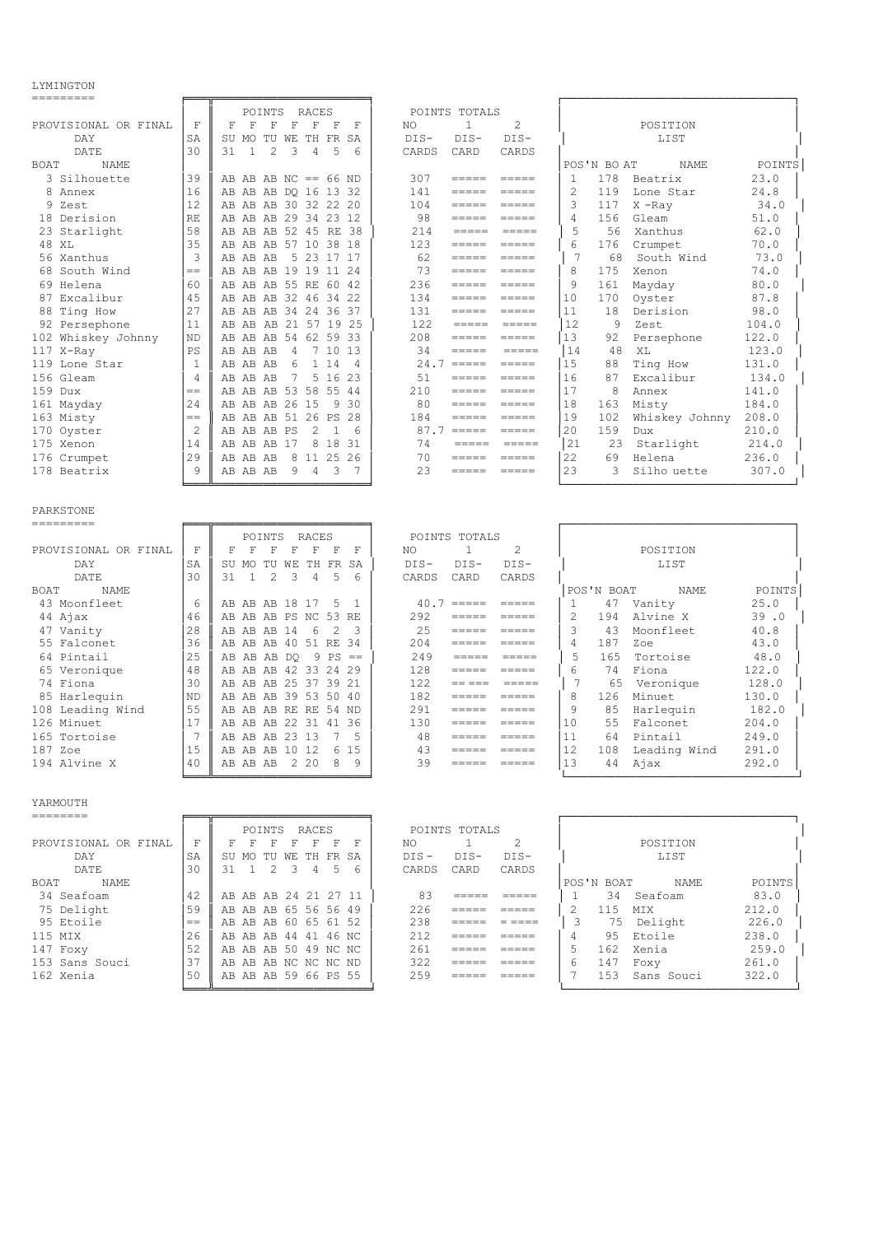#### LYMINGTON

| ---------                                                                                                                                                                                                                                                                                                                                                                                                                                                                                                    |              |                                                                        |                                                                                                                                                                                                                                                                                                                                                                                                                                                                                                                                   |                                   |                |
|--------------------------------------------------------------------------------------------------------------------------------------------------------------------------------------------------------------------------------------------------------------------------------------------------------------------------------------------------------------------------------------------------------------------------------------------------------------------------------------------------------------|--------------|------------------------------------------------------------------------|-----------------------------------------------------------------------------------------------------------------------------------------------------------------------------------------------------------------------------------------------------------------------------------------------------------------------------------------------------------------------------------------------------------------------------------------------------------------------------------------------------------------------------------|-----------------------------------|----------------|
|                                                                                                                                                                                                                                                                                                                                                                                                                                                                                                              |              | POINTS<br>RACES                                                        | POINTS TOTALS                                                                                                                                                                                                                                                                                                                                                                                                                                                                                                                     |                                   |                |
| PROVISIONAL OR FINAL                                                                                                                                                                                                                                                                                                                                                                                                                                                                                         | F            | F<br>F<br>F<br>F<br>F<br>$\mathbf F$<br>F                              | 1<br>2<br>NO                                                                                                                                                                                                                                                                                                                                                                                                                                                                                                                      | POSITION                          |                |
| DAY<br>DATE                                                                                                                                                                                                                                                                                                                                                                                                                                                                                                  | SA<br>30     | SU MO TU WE TH FR<br>SA<br>$\mathbf{1}$<br>2<br>3<br>4<br>5<br>31<br>6 | $DIS-$<br>$DIS-$<br>DIS-<br>CARDS<br>CARD<br>CARDS                                                                                                                                                                                                                                                                                                                                                                                                                                                                                | LIST                              |                |
| BOAT<br>NAME                                                                                                                                                                                                                                                                                                                                                                                                                                                                                                 |              |                                                                        |                                                                                                                                                                                                                                                                                                                                                                                                                                                                                                                                   | POS'N BO AT<br>NAME               | POINTS         |
| 3 Silhouette                                                                                                                                                                                                                                                                                                                                                                                                                                                                                                 | 39           | AB AB AB $NC == 66$ $ND$                                               | 307<br>$=$ $=$ $=$ $=$                                                                                                                                                                                                                                                                                                                                                                                                                                                                                                            | 178<br>1<br>Beatrix               | 23.0           |
| 8<br>Annex                                                                                                                                                                                                                                                                                                                                                                                                                                                                                                   | 16           | AB AB AB DO 16 13 32                                                   | 141<br>$=$ $=$ $=$ $=$<br>$=====$                                                                                                                                                                                                                                                                                                                                                                                                                                                                                                 | 2<br>119<br>Lone Star             | 24.8           |
| 9<br>Zest                                                                                                                                                                                                                                                                                                                                                                                                                                                                                                    | 12           | AB AB AB 30 32 22 20                                                   | 104<br>$=$ $=$ $=$ $=$                                                                                                                                                                                                                                                                                                                                                                                                                                                                                                            | 3<br>117<br>$X$ -Ray              | 34.0           |
| 18 Derision                                                                                                                                                                                                                                                                                                                                                                                                                                                                                                  | RE           | AB AB AB 29 34 23 12                                                   | 98<br>$=$ $=$ $=$ $=$                                                                                                                                                                                                                                                                                                                                                                                                                                                                                                             | 4<br>156<br>Gleam                 | 51.0           |
| 23 Starlight                                                                                                                                                                                                                                                                                                                                                                                                                                                                                                 | 58           | AB AB AB 52 45 RE 38                                                   | 214<br>$\qquad \qquad \equiv \equiv \equiv \equiv \equiv \equiv$<br>$\qquad \qquad \equiv \equiv \equiv \equiv \equiv$                                                                                                                                                                                                                                                                                                                                                                                                            | 5<br>56<br>Xanthus                | 62.0           |
| 48 XL                                                                                                                                                                                                                                                                                                                                                                                                                                                                                                        | 35           | AB AB AB 57 10 38 18                                                   | 123<br>=====<br>$\qquad \qquad = \qquad \qquad = \qquad \qquad =$                                                                                                                                                                                                                                                                                                                                                                                                                                                                 | 6<br>176<br>Crumpet               | 70.0           |
| 56 Xanthus                                                                                                                                                                                                                                                                                                                                                                                                                                                                                                   | 3            | 5 23 17 17<br>AB AB AB                                                 | 62<br>$\qquad \qquad \equiv \equiv \equiv \equiv \equiv \equiv$<br>$\qquad \qquad \equiv \equiv \equiv \equiv \equiv \equiv$                                                                                                                                                                                                                                                                                                                                                                                                      | 7<br>68<br>South Wind             | 73.0           |
| 68 South Wind                                                                                                                                                                                                                                                                                                                                                                                                                                                                                                | $==$         | AB AB AB 19 19 11<br>24                                                | 73<br>$\qquad \qquad \equiv \equiv \equiv \equiv \equiv \equiv$<br>$=$ $=$ $=$ $=$                                                                                                                                                                                                                                                                                                                                                                                                                                                | 8<br>175<br>Xenon                 | 74.0           |
| 69 Helena                                                                                                                                                                                                                                                                                                                                                                                                                                                                                                    | 60           | AB AB AB 55 RE 60 42                                                   | 236<br>$=$ $=$ $=$ $=$<br>$=====$                                                                                                                                                                                                                                                                                                                                                                                                                                                                                                 | 9<br>161<br>Mayday                | 80.0           |
| 87 Excalibur                                                                                                                                                                                                                                                                                                                                                                                                                                                                                                 | 45           | AB AB AB 32 46 34<br>-22                                               | 134<br>$=$ $=$ $=$ $=$<br>$=$ $=$ $=$ $=$                                                                                                                                                                                                                                                                                                                                                                                                                                                                                         | 10<br>170<br>Oyster               | 87.8           |
| 88 Ting How                                                                                                                                                                                                                                                                                                                                                                                                                                                                                                  | 27           | AB AB AB 34 24 36<br>37                                                | 131<br>$\qquad \qquad \equiv \equiv \equiv \equiv \equiv \equiv$                                                                                                                                                                                                                                                                                                                                                                                                                                                                  | 11<br>18<br>Derision              | 98.0           |
| 92 Persephone                                                                                                                                                                                                                                                                                                                                                                                                                                                                                                | 11           | AB AB AB 21 57 19<br>-25                                               | 122<br>$=$ $=$ $=$ $=$<br>$=$ $=$ $=$ $=$                                                                                                                                                                                                                                                                                                                                                                                                                                                                                         | 12<br>9<br>Zest                   | 104.0          |
| 102 Whiskey Johnny                                                                                                                                                                                                                                                                                                                                                                                                                                                                                           | ΝD           | 54 62 59<br>-33<br>AB AB AB                                            | 208<br>=====<br>$=$ $=$ $=$ $=$                                                                                                                                                                                                                                                                                                                                                                                                                                                                                                   | 13<br>92<br>Persephone            | 122.0          |
| 117 X-Ray                                                                                                                                                                                                                                                                                                                                                                                                                                                                                                    | PS           | AB AB AB<br>4<br>7 10<br>-13                                           | 34<br>=====<br>=====                                                                                                                                                                                                                                                                                                                                                                                                                                                                                                              | 14<br>48<br>ΧL                    | 123.0          |
| 119 Lone Star                                                                                                                                                                                                                                                                                                                                                                                                                                                                                                | $\mathbf{1}$ | 1 14<br>6<br>AB AB AB<br>4                                             | $24.7 == ==$<br>$=$ $=$ $=$ $=$                                                                                                                                                                                                                                                                                                                                                                                                                                                                                                   | 15<br>88<br>Ting How              | 131.0          |
| 156 Gleam                                                                                                                                                                                                                                                                                                                                                                                                                                                                                                    | 4            | 5 16<br>7<br>23<br>AB AB AB                                            | 51<br>$=$ $=$ $=$ $=$<br>=====                                                                                                                                                                                                                                                                                                                                                                                                                                                                                                    | 16<br>87<br>Excalibur             | 134.0          |
| 159 Dux                                                                                                                                                                                                                                                                                                                                                                                                                                                                                                      | $=$          | 53 58 55<br>AB AB AB<br>-44                                            | 210<br>$=$ $=$ $=$ $=$<br>$\qquad \qquad = \qquad \qquad = \qquad \qquad =$                                                                                                                                                                                                                                                                                                                                                                                                                                                       | 17<br>8<br>Annex                  | 141.0          |
| 161 Mayday                                                                                                                                                                                                                                                                                                                                                                                                                                                                                                   | 24           | AB AB AB 26 15<br>9<br>30                                              | 80<br>$=$ $=$ $=$ $=$<br>=====                                                                                                                                                                                                                                                                                                                                                                                                                                                                                                    | 18<br>163<br>Misty                | 184.0          |
| 163 Misty                                                                                                                                                                                                                                                                                                                                                                                                                                                                                                    | $=$          | AB AB AB 51 26<br>PS<br>28                                             | 184<br>$=====$<br>$=$ $=$ $=$ $=$                                                                                                                                                                                                                                                                                                                                                                                                                                                                                                 | 19<br>102<br>Whiskey Johnny       | 208.0          |
| 170 Oyster                                                                                                                                                                                                                                                                                                                                                                                                                                                                                                   | 2            | AB AB AB PS<br>2<br>6<br>1                                             | $87.7$ =====<br>$\qquad \qquad \equiv \equiv \equiv \equiv \equiv \equiv$                                                                                                                                                                                                                                                                                                                                                                                                                                                         | 20<br>159<br>Dux                  | 210.0          |
| 175 Xenon                                                                                                                                                                                                                                                                                                                                                                                                                                                                                                    | 14           | 8<br>18<br>31<br>AB AB AB<br>17                                        | 74<br>$=$ $=$ $=$ $=$<br>$=$ $=$ $=$ $=$                                                                                                                                                                                                                                                                                                                                                                                                                                                                                          | 21<br>23<br>Starlight             | 214.0          |
| 176 Crumpet                                                                                                                                                                                                                                                                                                                                                                                                                                                                                                  | 29           | 8 11 25<br>26<br>AB AB AB                                              | 70<br>=====<br>$=====$                                                                                                                                                                                                                                                                                                                                                                                                                                                                                                            | 22<br>69<br>Helena                | 236.0          |
| 178 Beatrix                                                                                                                                                                                                                                                                                                                                                                                                                                                                                                  | 9            | 9<br>$\overline{4}$<br>3<br>- 7<br>AB AB AB                            | 23<br>=====<br>$=====$                                                                                                                                                                                                                                                                                                                                                                                                                                                                                                            | 23<br>3<br>Silho uette            | 307.0          |
|                                                                                                                                                                                                                                                                                                                                                                                                                                                                                                              |              |                                                                        |                                                                                                                                                                                                                                                                                                                                                                                                                                                                                                                                   |                                   |                |
| PARKSTONE<br>=========                                                                                                                                                                                                                                                                                                                                                                                                                                                                                       |              |                                                                        |                                                                                                                                                                                                                                                                                                                                                                                                                                                                                                                                   |                                   |                |
|                                                                                                                                                                                                                                                                                                                                                                                                                                                                                                              |              | POINTS<br><b>RACES</b>                                                 | POINTS TOTALS                                                                                                                                                                                                                                                                                                                                                                                                                                                                                                                     |                                   |                |
| PROVISIONAL OR FINAL                                                                                                                                                                                                                                                                                                                                                                                                                                                                                         | F            | F<br>F<br>$\mathbf F$<br>$\mathbf F$<br>$_{\rm F}$<br>F<br>F           | $\overline{c}$<br>$\mathbf{1}$<br>NO                                                                                                                                                                                                                                                                                                                                                                                                                                                                                              | POSITION                          |                |
| DAY                                                                                                                                                                                                                                                                                                                                                                                                                                                                                                          | SΑ           | MO TU WE<br>TH FR<br>SU<br>SA                                          | $DIS-$<br>$DIS-$<br>DIS-                                                                                                                                                                                                                                                                                                                                                                                                                                                                                                          | LIST                              |                |
| DATE                                                                                                                                                                                                                                                                                                                                                                                                                                                                                                         | 30           | $\overline{c}$<br>31<br>$\mathbf{1}$<br>3<br>4<br>5<br>6               | CARDS<br>CARD<br>CARDS                                                                                                                                                                                                                                                                                                                                                                                                                                                                                                            |                                   |                |
| <b>BOAT</b><br><b>NAME</b>                                                                                                                                                                                                                                                                                                                                                                                                                                                                                   |              |                                                                        |                                                                                                                                                                                                                                                                                                                                                                                                                                                                                                                                   | POS'N BOAT<br>NAME                | POINTS         |
| 43 Moonfleet                                                                                                                                                                                                                                                                                                                                                                                                                                                                                                 | 6            | AB AB AB 18 17<br>5<br>1                                               | $40.7$ =====<br>$=$ $=$ $=$ $=$                                                                                                                                                                                                                                                                                                                                                                                                                                                                                                   | Vanity<br>1<br>47                 | 25.0           |
| 44 Ajax                                                                                                                                                                                                                                                                                                                                                                                                                                                                                                      | 46           | AB AB AB PS NC<br>53 RE                                                | 292<br>=====<br>$=$ $=$ $=$ $=$                                                                                                                                                                                                                                                                                                                                                                                                                                                                                                   | $\overline{c}$<br>Alvine X<br>194 |                |
| 47 Vanity                                                                                                                                                                                                                                                                                                                                                                                                                                                                                                    |              |                                                                        |                                                                                                                                                                                                                                                                                                                                                                                                                                                                                                                                   |                                   | 39.0           |
| 55 Falconet                                                                                                                                                                                                                                                                                                                                                                                                                                                                                                  | 28           | 6<br>2<br>3<br>AB AB AB 14                                             | 25<br>=====<br>$=$ $=$ $=$ $=$                                                                                                                                                                                                                                                                                                                                                                                                                                                                                                    | 3<br>43<br>Moonfleet              | 40.8           |
|                                                                                                                                                                                                                                                                                                                                                                                                                                                                                                              | 36           | AB AB AB 40 51 RE<br>-34                                               | 204<br>=====<br>$=$ $=$ $=$ $=$                                                                                                                                                                                                                                                                                                                                                                                                                                                                                                   | 4<br>187<br>Zoe                   | 43.0           |
| 64 Pintail                                                                                                                                                                                                                                                                                                                                                                                                                                                                                                   | 25           | 9<br>AB AB AB DQ<br>PS<br>$=$                                          | 249<br>$=$ $=$ $=$ $=$<br>$=$ $=$ $=$ $=$                                                                                                                                                                                                                                                                                                                                                                                                                                                                                         | 5<br>165<br>Tortoise              | 48.0           |
| 65 Veronique                                                                                                                                                                                                                                                                                                                                                                                                                                                                                                 | 48           | AB AB AB 42 33 24<br>-29                                               | 128<br>=====<br>$=$ $=$ $=$ $=$                                                                                                                                                                                                                                                                                                                                                                                                                                                                                                   | 6<br>Fiona<br>74                  | 122.0          |
| 74 Fiona                                                                                                                                                                                                                                                                                                                                                                                                                                                                                                     | 30           | AB AB AB 25 37 39<br>-21                                               | 122<br>$=$ $=$ $=$ $=$<br>$= = = = =$                                                                                                                                                                                                                                                                                                                                                                                                                                                                                             | $\overline{7}$<br>65<br>Veronique | 128.0          |
| 85 Harlequin                                                                                                                                                                                                                                                                                                                                                                                                                                                                                                 | ΝD           | AB AB AB 39 53 50<br>-40                                               | 182<br>$=$ $=$ $=$ $=$<br>$=$ $=$ $=$ $=$                                                                                                                                                                                                                                                                                                                                                                                                                                                                                         | 8<br>Minuet<br>126                | 130.0          |
| 108 Leading Wind                                                                                                                                                                                                                                                                                                                                                                                                                                                                                             | 55           | AB AB AB RE RE 54 ND                                                   | 291<br>$=$ $=$ $=$ $=$<br>$=====$                                                                                                                                                                                                                                                                                                                                                                                                                                                                                                 | 9<br>85<br>Harlequin              | 182.0          |
| 126 Minuet                                                                                                                                                                                                                                                                                                                                                                                                                                                                                                   | 17           | AB AB AB 22 31 41<br>-36                                               | 130<br>=====<br>$=====$                                                                                                                                                                                                                                                                                                                                                                                                                                                                                                           | 10<br>55<br>Falconet              | 204.0          |
| 165 Tortoise                                                                                                                                                                                                                                                                                                                                                                                                                                                                                                 | 7            | AB AB AB 23 13<br>7<br>5                                               | 48<br>$=$ $=$ $=$ $=$<br>$=$ $=$ $=$ $=$                                                                                                                                                                                                                                                                                                                                                                                                                                                                                          | 11<br>64<br>Pintail               | 249.0          |
| 187 Zoe                                                                                                                                                                                                                                                                                                                                                                                                                                                                                                      | 15           | 6 15<br>AB AB AB 10 12                                                 | 43<br>=====<br>$\qquad \qquad \displaystyle =\qquad \qquad \displaystyle =\qquad \qquad$                                                                                                                                                                                                                                                                                                                                                                                                                                          | 12<br>108 Leading Wind            | 291.0          |
| 194 Alvine X                                                                                                                                                                                                                                                                                                                                                                                                                                                                                                 |              | 40 AB AB AB 2 20 8 9                                                   |                                                                                                                                                                                                                                                                                                                                                                                                                                                                                                                                   | 13<br>44 Ajax                     | 292.0          |
|                                                                                                                                                                                                                                                                                                                                                                                                                                                                                                              |              |                                                                        |                                                                                                                                                                                                                                                                                                                                                                                                                                                                                                                                   |                                   |                |
| YARMOUTH                                                                                                                                                                                                                                                                                                                                                                                                                                                                                                     |              |                                                                        |                                                                                                                                                                                                                                                                                                                                                                                                                                                                                                                                   |                                   |                |
| $\begin{tabular}{ccccc} \multicolumn{2}{c} {\textbf{}} & \multicolumn{2}{c} {\textbf{}} & \multicolumn{2}{c} {\textbf{}} \\ \multicolumn{2}{c} {\textbf{}} & \multicolumn{2}{c} {\textbf{}} & \multicolumn{2}{c} {\textbf{}} \\ \multicolumn{2}{c} {\textbf{}} & \multicolumn{2}{c} {\textbf{}} & \multicolumn{2}{c} {\textbf{}} \\ \multicolumn{2}{c} {\textbf{}} & \multicolumn{2}{c} {\textbf{}} & \multicolumn{2}{c} {\textbf{}} \\ \multicolumn{2}{c} {\textbf{}} & \multicolumn{2}{c} {\textbf{}} & \$ |              |                                                                        |                                                                                                                                                                                                                                                                                                                                                                                                                                                                                                                                   |                                   |                |
|                                                                                                                                                                                                                                                                                                                                                                                                                                                                                                              |              | POINTS RACES                                                           | POINTS TOTALS                                                                                                                                                                                                                                                                                                                                                                                                                                                                                                                     |                                   |                |
| PROVISIONAL OR FINAL                                                                                                                                                                                                                                                                                                                                                                                                                                                                                         | F            | F F F F F F F                                                          | $\mathbf{1}$<br>$\overline{2}$<br>NO NO                                                                                                                                                                                                                                                                                                                                                                                                                                                                                           | POSITION                          |                |
| DAY                                                                                                                                                                                                                                                                                                                                                                                                                                                                                                          | SA           | SU MO TU WE TH FR SA                                                   | DIS-DIS-<br>DIS-                                                                                                                                                                                                                                                                                                                                                                                                                                                                                                                  | LIST                              |                |
| DATE                                                                                                                                                                                                                                                                                                                                                                                                                                                                                                         | 30           | 31 1 2 3 4 5 6                                                         | CARDS CARD<br>CARDS                                                                                                                                                                                                                                                                                                                                                                                                                                                                                                               |                                   |                |
| BOAT NAME<br>34 Seafoam                                                                                                                                                                                                                                                                                                                                                                                                                                                                                      | 42           | AB AB AB 24 21 27 11                                                   | 83<br>$\begin{tabular}{ll} \multicolumn{2}{l}{{\color{red}\textbf{m}}} = \multicolumn{2}{l}{\color{green}\textbf{m}} = \multicolumn{2}{l}{\color{green}\textbf{m}} = \multicolumn{2}{l}{\color{green}\textbf{m}} = \multicolumn{2}{l}{\color{green}\textbf{m}} = \multicolumn{2}{l}{\color{green}\textbf{m}} = \multicolumn{2}{l}{\color{green}\textbf{m}} = \multicolumn{2}{l}{\color{green}\textbf{m}} = \multicolumn{2}{l}{\color{green}\textbf{m}} = \multicolumn{2}{l}{\color{green}\textbf{m}} = \multicolumn{2}{l}{\color$ | POS'N BOAT NAME<br>1 34 Seafoam   | POINTS<br>83.0 |

| 34 Seafoam     |
|----------------|
| 75 Delight     |
| 95 Etoile      |
| 115 MTX        |
| 147 Foxy       |
| 153 Sans Souci |
| 162 Xenia      |

|                      |     |    |          | POINTS RACES         |             |   |     |   |         | POINTS TOTALS |       |   |            |            |      |        |
|----------------------|-----|----|----------|----------------------|-------------|---|-----|---|---------|---------------|-------|---|------------|------------|------|--------|
| PROVISIONAL OR FINAL | F   |    |          | F                    | F           | F | F   | F | NO.     |               |       |   |            | POSITION   |      |        |
| DAY                  | SA  |    | SU MO TU |                      | WE TH FR SA |   |     |   | $DTS -$ | DTS-          | DTS-  |   |            | LIST       |      |        |
| DATE                 | 30  | 31 |          | 2                    | 3.          | 4 | .5. |   | CARDS   | CARD          | CARDS |   |            |            |      |        |
| BOAT<br>NAME         |     |    |          |                      |             |   |     |   |         |               |       |   | POS'N BOAT |            | NAME | POINTS |
| 34 Seafoam           | 42  |    |          | AB AB AB 24 21 27 11 |             |   |     |   | 83      |               |       |   | 34         | Seafoam    |      | 83.0   |
| 75 Delight           | 59  |    |          | AB AB AB 65 56 56 49 |             |   |     |   | 226     |               |       |   | 115        | <b>MTX</b> |      | 212.0  |
| 95 Etoile            | $=$ |    |          | AB AB AB 60 65 61 52 |             |   |     |   | 238     | _____         |       |   | 75         | Delight    |      | 226.0  |
| 115 MIX              | 26  |    |          | AB AB AB 44 41 46 NC |             |   |     |   | 212     |               |       |   |            | 95 Etoile  |      | 238.0  |
| 147 Foxy             | 52  |    |          | AB AB AB 50 49 NC NC |             |   |     |   | 261     |               |       |   | 162        | Xenia      |      | 259.0  |
| 153 Sans Souci       | 37  |    |          | AB AB AB NC NC NC ND |             |   |     |   | 322     |               |       | 6 | 147        | Foxy       |      | 261.0  |
| 162 Xenia            | 50  |    |          | AB AB AB 59 66 PS 55 |             |   |     |   | 259     |               |       |   | 153        | Sans Souci |      | 322.0  |
|                      |     |    |          |                      |             |   |     |   |         |               |       |   |            |            |      |        |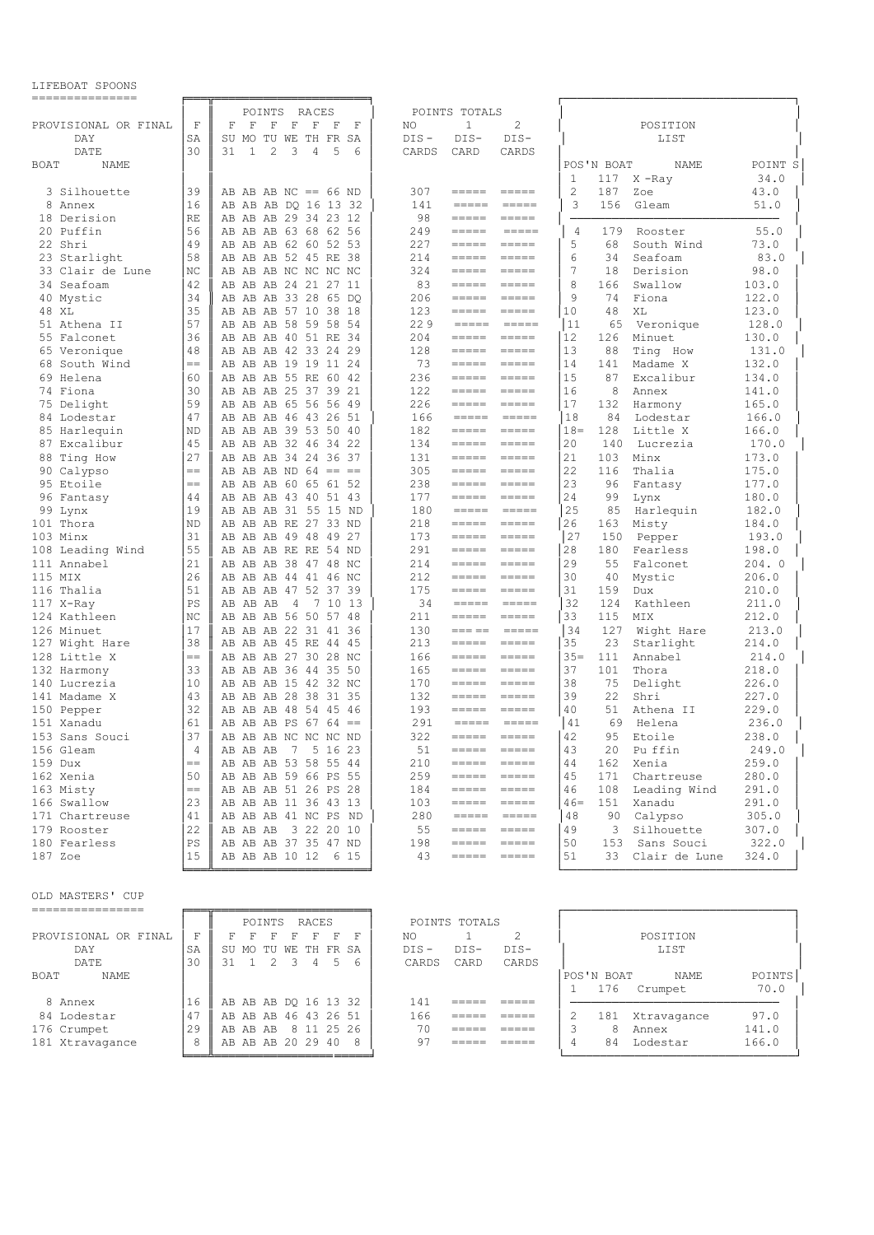#### LIFEBOAT SPOONS

| ---------------      |                |                                           |                                                                                                                                                                                                                                                                                                                                                                                                                                                                                                                                                                                                                                                                                   |                                     |  |
|----------------------|----------------|-------------------------------------------|-----------------------------------------------------------------------------------------------------------------------------------------------------------------------------------------------------------------------------------------------------------------------------------------------------------------------------------------------------------------------------------------------------------------------------------------------------------------------------------------------------------------------------------------------------------------------------------------------------------------------------------------------------------------------------------|-------------------------------------|--|
|                      |                | POINTS<br>RACES                           | POINTS TOTALS                                                                                                                                                                                                                                                                                                                                                                                                                                                                                                                                                                                                                                                                     |                                     |  |
| PROVISIONAL OR FINAL | F              | $\mathbf F$<br>F<br>F<br>F<br>F<br>F<br>F | 2<br>NO<br>$\mathbf{1}$                                                                                                                                                                                                                                                                                                                                                                                                                                                                                                                                                                                                                                                           | POSITION                            |  |
| DAY                  | SΑ             | MO TU WE TH FR<br>SU<br>SA                | $DIS -$<br>$DIS-$<br>$DIS-$                                                                                                                                                                                                                                                                                                                                                                                                                                                                                                                                                                                                                                                       | LIST                                |  |
| DATE                 | 30             | 2<br>31<br>1<br>3<br>4<br>5<br>6          | CARDS<br>CARD<br>CARDS                                                                                                                                                                                                                                                                                                                                                                                                                                                                                                                                                                                                                                                            |                                     |  |
| BOAT<br>NAME         |                |                                           |                                                                                                                                                                                                                                                                                                                                                                                                                                                                                                                                                                                                                                                                                   | POINT S<br>POS'N BOAT<br>NAME       |  |
|                      |                |                                           |                                                                                                                                                                                                                                                                                                                                                                                                                                                                                                                                                                                                                                                                                   | 34.0<br>1<br>117<br>X-Ray           |  |
| 3 Silhouette         | 39             | AB AB AB NC == $66$ ND                    | 307<br>$\qquad \qquad \equiv \equiv \equiv \equiv \equiv \equiv$<br>$=====$                                                                                                                                                                                                                                                                                                                                                                                                                                                                                                                                                                                                       | 2<br>187<br>43.0<br>Zoe             |  |
| 8<br>Annex           | 16             | AB AB AB DQ 16 13 32                      | 141<br>=====<br>=====                                                                                                                                                                                                                                                                                                                                                                                                                                                                                                                                                                                                                                                             | 3<br>156<br>Gleam<br>51.0           |  |
| 18 Derision          | RE             | AB AB AB 29 34 23 12                      | 98<br>$\qquad \qquad \equiv \equiv \equiv \equiv \equiv \equiv$                                                                                                                                                                                                                                                                                                                                                                                                                                                                                                                                                                                                                   |                                     |  |
| Puffin<br>20         | 56             | AB AB AB 63 68 62 56                      | 249<br>$\qquad \qquad \displaystyle =\qquad \qquad \displaystyle =\qquad \qquad$<br>=====                                                                                                                                                                                                                                                                                                                                                                                                                                                                                                                                                                                         | 55.0<br>179<br>4<br>Rooster         |  |
| 22 Shri              | 49             | AB AB AB 62 60 52 53                      | 227<br>$\qquad \qquad \overline{\qquad \qquad }=\overline{\qquad \qquad }=\overline{\qquad \qquad }=\overline{\qquad \qquad }=\overline{\qquad \qquad }=\overline{\qquad \qquad }=\overline{\qquad \qquad }=\overline{\qquad \qquad }=\overline{\qquad \qquad }=\overline{\qquad \qquad }=\overline{\qquad \qquad }=\overline{\qquad \qquad }=\overline{\qquad \qquad }=\overline{\qquad \qquad }=\overline{\qquad \qquad }=\overline{\qquad \qquad }=\overline{\qquad \qquad }=\overline{\qquad \qquad }=\overline{\qquad \qquad }=\overline{\qquad \qquad }=\overline{\qquad \qquad }=\overline{\$<br>$\qquad \qquad \displaystyle =\qquad \qquad \displaystyle =\qquad \qquad$ | 5<br>68<br>South Wind<br>73.0       |  |
| 23 Starlight         | 58             | AB AB AB 52 45 RE<br>-38                  | 214<br>$\qquad \qquad \overline{\qquad \qquad }=\overline{\qquad \qquad }=\overline{\qquad \qquad }=\overline{\qquad \qquad }=\overline{\qquad \qquad }=\overline{\qquad \qquad }=\overline{\qquad \qquad }=\overline{\qquad \qquad }=\overline{\qquad \qquad }=\overline{\qquad \qquad }=\overline{\qquad \qquad }=\overline{\qquad \qquad }=\overline{\qquad \qquad }=\overline{\qquad \qquad }=\overline{\qquad \qquad }=\overline{\qquad \qquad }=\overline{\qquad \qquad }=\overline{\qquad \qquad }=\overline{\qquad \qquad }=\overline{\qquad \qquad }=\overline{\qquad \qquad }=\overline{\$<br>=====                                                                     | 83.0<br>6<br>34<br>Seafoam          |  |
| 33 Clair de Lune     | NC             | AB AB AB NC NC NC NC                      | 324<br>$\qquad \qquad \overline{\qquad \qquad }=\overline{\qquad \qquad }=\overline{\qquad \qquad }=\overline{\qquad \qquad }=\overline{\qquad \qquad }=\overline{\qquad \qquad }=\overline{\qquad \qquad }=\overline{\qquad \qquad }=\overline{\qquad \qquad }=\overline{\qquad \qquad }=\overline{\qquad \qquad }=\overline{\qquad \qquad }=\overline{\qquad \qquad }=\overline{\qquad \qquad }=\overline{\qquad \qquad }=\overline{\qquad \qquad }=\overline{\qquad \qquad }=\overline{\qquad \qquad }=\overline{\qquad \qquad }=\overline{\qquad \qquad }=\overline{\qquad \qquad }=\overline{\$<br>$\qquad \qquad \displaystyle =\qquad \qquad \displaystyle =\qquad \qquad$ | 7<br>98.0<br>18<br>Derision         |  |
| Seafoam<br>34        | 42             | AB AB AB 24 21 27 11                      | 83<br>$\qquad \qquad \displaystyle =\qquad \qquad \displaystyle =\qquad \qquad$<br>$=$ $=$ $=$ $=$                                                                                                                                                                                                                                                                                                                                                                                                                                                                                                                                                                                | 8<br>166<br>103.0<br>Swallow        |  |
| 40 Mystic            | 34             | AB AB AB 33 28 65 DO                      | 206<br>$=$ $=$ $=$ $=$<br>$=$ $=$ $=$ $=$                                                                                                                                                                                                                                                                                                                                                                                                                                                                                                                                                                                                                                         | 9<br>74<br>Fiona<br>122.0           |  |
| 48 XL                | 35             | AB AB AB 57 10 38 18                      | 123<br>$\qquad \qquad \equiv \equiv \equiv \equiv \equiv \equiv$<br>$=$ $=$ $=$ $=$                                                                                                                                                                                                                                                                                                                                                                                                                                                                                                                                                                                               | 10<br>48<br>XL<br>123.0             |  |
| 51 Athena II         | 57             | AB AB AB 58 59 58 54                      | 229<br>$=$ $=$ $=$ $=$<br>$=$ $=$ $=$ $=$                                                                                                                                                                                                                                                                                                                                                                                                                                                                                                                                                                                                                                         | 11<br>128.0<br>65<br>Veronique      |  |
| 55 Falconet          | 36             | AB AB AB 40 51 RE<br>-34                  | 204<br>$=$ $=$ $=$ $=$<br>$=$ $=$ $=$ $=$                                                                                                                                                                                                                                                                                                                                                                                                                                                                                                                                                                                                                                         | 12<br>130.0<br>126<br>Minuet        |  |
|                      | 48             | AB AB AB 42 33 24 29                      | 128<br>$=$ $=$ $=$ $=$<br>$=$ $=$ $=$ $=$                                                                                                                                                                                                                                                                                                                                                                                                                                                                                                                                                                                                                                         | 13<br>88<br>131.0                   |  |
| 65 Veronique         | $=$            |                                           | 73<br>$=$ $=$ $=$ $=$<br>$=$ $=$ $=$ $=$                                                                                                                                                                                                                                                                                                                                                                                                                                                                                                                                                                                                                                          | Ting How<br>14                      |  |
| 68 South Wind        |                | AB AB AB 19 19 11<br>24                   | $=$ $=$ $=$ $=$<br>$=$ $=$ $=$ $=$                                                                                                                                                                                                                                                                                                                                                                                                                                                                                                                                                                                                                                                | 132.0<br>141<br>Madame X<br>87      |  |
| 69 Helena            | 60             | AB AB AB 55 RE 60 42                      | 236                                                                                                                                                                                                                                                                                                                                                                                                                                                                                                                                                                                                                                                                               | 15<br>Excalibur<br>134.0            |  |
| 74 Fiona             | 30             | AB AB AB 25 37 39 21                      | 122<br>$=$ $=$ $=$ $=$<br>$=====$                                                                                                                                                                                                                                                                                                                                                                                                                                                                                                                                                                                                                                                 | 16<br>8<br>Annex<br>141.0           |  |
| 75 Delight           | 59             | AB AB AB 65 56 56 49                      | 226<br>$=$ $=$ $=$ $=$<br>$=$ $=$ $=$ $=$                                                                                                                                                                                                                                                                                                                                                                                                                                                                                                                                                                                                                                         | 17<br>132<br>165.0<br>Harmony       |  |
| 84 Lodestar          | 47             | AB AB AB 46 43 26 51                      | 166<br>$=$ $=$ $=$ $=$<br>$=$ $=$ $=$ $=$                                                                                                                                                                                                                                                                                                                                                                                                                                                                                                                                                                                                                                         | 18<br>84<br>Lodestar<br>166.0       |  |
| 85 Harlequin         | ΝD             | AB AB AB 39 53 50 40                      | 182<br>$=$ $=$ $=$ $=$                                                                                                                                                                                                                                                                                                                                                                                                                                                                                                                                                                                                                                                            | $18 -$<br>128<br>Little X<br>166.0  |  |
| 87 Excalibur         | 45             | AB AB AB 32 46 34 22                      | 134<br>$=$ $=$ $=$ $=$<br>$=$ $=$ $=$ $=$                                                                                                                                                                                                                                                                                                                                                                                                                                                                                                                                                                                                                                         | 20<br>170.0<br>140<br>Lucrezia      |  |
| 88 Ting How          | 27             | AB AB AB 34 24 36 37                      | 131<br>$=$ $=$ $=$ $=$                                                                                                                                                                                                                                                                                                                                                                                                                                                                                                                                                                                                                                                            | 21<br>103<br>Minx<br>173.0          |  |
| 90 Calypso           | $==$           | AB AB AB ND $64 ==$<br>$==$               | 305<br>$\qquad \qquad \equiv \equiv \equiv \equiv \equiv \equiv$<br>$=$ $=$ $=$ $=$                                                                                                                                                                                                                                                                                                                                                                                                                                                                                                                                                                                               | 22<br>116<br>Thalia<br>175.0        |  |
| 95 Etoile            | $==$           | AB AB AB 60 65 61 52                      | 238<br>$\qquad \qquad \equiv \equiv \equiv \equiv \equiv \equiv$<br>$=$ $=$ $=$ $=$                                                                                                                                                                                                                                                                                                                                                                                                                                                                                                                                                                                               | 23<br>96<br>177.0<br>Fantasy        |  |
| 96 Fantasy           | 44             | AB AB AB 43 40 51 43                      | 177<br>$=$ $=$ $=$ $=$                                                                                                                                                                                                                                                                                                                                                                                                                                                                                                                                                                                                                                                            | 24<br>99<br>Lynx<br>180.0           |  |
| 99 Lynx              | 19             | AB AB AB 31 55 15 ND                      | 180<br>$\qquad \qquad \equiv \equiv \equiv \equiv \equiv \equiv$                                                                                                                                                                                                                                                                                                                                                                                                                                                                                                                                                                                                                  | 25<br>182.0<br>85<br>Harlequin      |  |
| 101 Thora            | ΝD             | AB AB AB RE 27 33 ND                      | 218<br>$\qquad \qquad \equiv \equiv \equiv \equiv \equiv \equiv$<br>$=$ $=$ $=$ $=$                                                                                                                                                                                                                                                                                                                                                                                                                                                                                                                                                                                               | 26<br>163<br>Misty<br>184.0         |  |
| 103 Minx             | 31             | AB AB AB 49 48 49 27                      | 173<br>$\qquad \qquad \equiv \equiv \equiv \equiv \equiv \equiv$<br>$\qquad \qquad \equiv \equiv \equiv \equiv \equiv \equiv$                                                                                                                                                                                                                                                                                                                                                                                                                                                                                                                                                     | 27<br>150<br>193.0<br>Pepper        |  |
| 108 Leading Wind     | 55             | AB AB AB RE RE 54 ND                      | 291<br>$\qquad \qquad \equiv \equiv \equiv \equiv \equiv \equiv$<br>$=$ $=$ $=$ $=$                                                                                                                                                                                                                                                                                                                                                                                                                                                                                                                                                                                               | 28<br>180<br>198.0<br>Fearless      |  |
| 111 Annabel          | 21             | AB AB AB 38 47 48 NC                      | 214<br>$\qquad \qquad \overline{\qquad \qquad }=\overline{\qquad \qquad }=\overline{\qquad \qquad }=\overline{\qquad \qquad }=\overline{\qquad \qquad }=\overline{\qquad \qquad }=\overline{\qquad \qquad }=\overline{\qquad \qquad }=\overline{\qquad \qquad }=\overline{\qquad \qquad }=\overline{\qquad \qquad }=\overline{\qquad \qquad }=\overline{\qquad \qquad }=\overline{\qquad \qquad }=\overline{\qquad \qquad }=\overline{\qquad \qquad }=\overline{\qquad \qquad }=\overline{\qquad \qquad }=\overline{\qquad \qquad }=\overline{\qquad \qquad }=\overline{\qquad \qquad }=\overline{\$<br>$=$ $=$ $=$ $=$                                                           | 29<br>55<br>204.0<br>Falconet       |  |
| 115 MIX              | 26             | AB AB AB 44 41 46 NC                      | 212<br>$\qquad \qquad \displaystyle =\qquad \qquad \displaystyle =\qquad \qquad$                                                                                                                                                                                                                                                                                                                                                                                                                                                                                                                                                                                                  | 30<br>40<br>206.0<br>Mystic         |  |
| 116 Thalia           | 51             | AB AB AB 47 52 37 39                      | 175<br>$\qquad \qquad \equiv \equiv \equiv \equiv \equiv \equiv$                                                                                                                                                                                                                                                                                                                                                                                                                                                                                                                                                                                                                  | 31<br>159<br>Dux<br>210.0           |  |
| 117 X-Ray            | PS             | 7 10<br>13<br>AB AB AB<br>4               | 34<br>$=$ $=$ $=$ $=$<br>$=$ $=$ $=$ $=$                                                                                                                                                                                                                                                                                                                                                                                                                                                                                                                                                                                                                                          | 32<br>124<br>Kathleen<br>211.0      |  |
| 124 Kathleen         | NC             | AB AB AB 56 50 57 48                      | 211<br>$=$ $=$ $=$ $=$<br>$=$ $=$ $=$ $=$                                                                                                                                                                                                                                                                                                                                                                                                                                                                                                                                                                                                                                         | 33<br>115<br>MIX<br>212.0           |  |
| 126 Minuet           | 17             | AB AB AB 22 31 41<br>36                   | 130<br>$== == == ==$<br>$=$ $=$ $=$ $=$                                                                                                                                                                                                                                                                                                                                                                                                                                                                                                                                                                                                                                           | 34<br>127<br>Wight Hare<br>213.0    |  |
| 127 Wight Hare       | 38             | AB AB AB 45 RE 44 45                      | 213<br>$=$ $=$ $=$ $=$<br>$=$ $=$ $=$ $=$                                                                                                                                                                                                                                                                                                                                                                                                                                                                                                                                                                                                                                         | 35<br>23<br>Starlight<br>214.0      |  |
| 128 Little X         | $=$            | AB AB AB 27 30 28 NC                      | 166<br>$\qquad \qquad \displaystyle =\qquad \qquad \displaystyle =\qquad \qquad$<br>$=$ $=$ $=$ $=$                                                                                                                                                                                                                                                                                                                                                                                                                                                                                                                                                                               | $35 -$<br>Annabel<br>111<br>214.0   |  |
| 132 Harmony          | 33             | AB AB AB 36 44 35 50                      | 165<br>$=$ $=$ $=$ $=$<br>$\frac{1}{1}$                                                                                                                                                                                                                                                                                                                                                                                                                                                                                                                                                                                                                                           | 37<br>101<br>Thora<br>218.0         |  |
| 140 Lucrezia         | 10             | AB AB AB 15 42 32 NC                      | 170<br>$\qquad \qquad = \qquad \qquad = \qquad \qquad =$                                                                                                                                                                                                                                                                                                                                                                                                                                                                                                                                                                                                                          | 38<br>75<br>Delight<br>226.0        |  |
| 141 Madame X         | 43             | AB AB AB 28 38 31<br>35                   | 132<br>$=$ $=$ $=$ $=$<br>$=$ $=$ $=$ $=$                                                                                                                                                                                                                                                                                                                                                                                                                                                                                                                                                                                                                                         | 39<br>22<br>Shri<br>227.0           |  |
| 150 Pepper           | 32             | AB AB AB 48 54 45 46                      | 193<br>$=$ $=$ $=$ $=$<br>$=$ $=$ $=$ $=$                                                                                                                                                                                                                                                                                                                                                                                                                                                                                                                                                                                                                                         | 40<br>229.0<br>51<br>Athena II      |  |
| 151 Xanadu           | 61             | AB AB AB PS 67 64 ==                      | 291<br>$=$ $=$ $=$ $=$<br>$=$ $=$ $=$ $=$                                                                                                                                                                                                                                                                                                                                                                                                                                                                                                                                                                                                                                         | 41<br>69<br>Helena<br>236.0         |  |
| 153 Sans Souci       | 37             | AB AB AB NC NC NC ND                      | 322<br>$=$ $=$ $=$ $=$<br>$\qquad \qquad = \qquad \qquad = \qquad \qquad$                                                                                                                                                                                                                                                                                                                                                                                                                                                                                                                                                                                                         | 42<br>95<br>Etoile<br>238.0         |  |
| 156 Gleam            | $\overline{4}$ | AB AB AB 7 5 16 23                        | 51<br>—————                                                                                                                                                                                                                                                                                                                                                                                                                                                                                                                                                                                                                                                                       | 43<br>20 Pu ffin<br>249.0           |  |
| 159 Dux              | $==$           | AB AB AB 53 58 55 44                      | 210                                                                                                                                                                                                                                                                                                                                                                                                                                                                                                                                                                                                                                                                               | 44<br>162 Xenia<br>259.0            |  |
| 162 Xenia            | 50             | AB AB AB 59 66 PS 55                      | 259<br>$\qquad \qquad \overline{\qquad \qquad }=\overline{\qquad \qquad }=\overline{\qquad \qquad }=\overline{\qquad \qquad }=\overline{\qquad \qquad }=\overline{\qquad \qquad }=\overline{\qquad \qquad }=\overline{\qquad \qquad }=\overline{\qquad \qquad }=\overline{\qquad \qquad }=\overline{\qquad \qquad }=\overline{\qquad \qquad }=\overline{\qquad \qquad }=\overline{\qquad \qquad }=\overline{\qquad \qquad }=\overline{\qquad \qquad }=\overline{\qquad \qquad }=\overline{\qquad \qquad }=\overline{\qquad \qquad }=\overline{\qquad \qquad }=\overline{\qquad \qquad }=\overline{\$<br>$=====$                                                                   | 45<br>171 Chartreuse<br>280.0       |  |
| 163 Misty            | $==$           | AB AB AB 51 26 PS 28                      | 184<br>=====<br>$=====$                                                                                                                                                                                                                                                                                                                                                                                                                                                                                                                                                                                                                                                           | 46<br>108 Leading Wind<br>291.0     |  |
| 166 Swallow          | 23             | AB AB AB 11 36 43 13                      | 103<br>$\qquad \qquad \overline{\qquad \qquad }=\overline{\qquad \qquad }=\overline{\qquad \qquad }=\overline{\qquad \qquad }=\overline{\qquad \qquad }=\overline{\qquad \qquad }=\overline{\qquad \qquad }=\overline{\qquad \qquad }=\overline{\qquad \qquad }=\overline{\qquad \qquad }=\overline{\qquad \qquad }=\overline{\qquad \qquad }=\overline{\qquad \qquad }=\overline{\qquad \qquad }=\overline{\qquad \qquad }=\overline{\qquad \qquad }=\overline{\qquad \qquad }=\overline{\qquad \qquad }=\overline{\qquad \qquad }=\overline{\qquad \qquad }=\overline{\qquad \qquad }=\overline{\$<br>$=====$                                                                   | 46= 151 Xanadu<br>291.0             |  |
|                      | 41             | AB AB AB 41 NC PS ND                      | 280<br>$\qquad \qquad \displaystyle =\qquad \qquad \displaystyle =\qquad \qquad$                                                                                                                                                                                                                                                                                                                                                                                                                                                                                                                                                                                                  | 48                                  |  |
| 171 Chartreuse       | 22             | AB AB AB 3 22 20 10                       | $=====$<br>55                                                                                                                                                                                                                                                                                                                                                                                                                                                                                                                                                                                                                                                                     | 90 Calypso<br>305.0<br>49           |  |
| 179 Rooster          |                |                                           | =====<br>$=====$                                                                                                                                                                                                                                                                                                                                                                                                                                                                                                                                                                                                                                                                  | 3 Silhouette<br>307.0               |  |
| 180 Fearless         | PS<br>15       | AB AB AB 37 35 47 ND                      | 198                                                                                                                                                                                                                                                                                                                                                                                                                                                                                                                                                                                                                                                                               | 50<br>153 Sans Souci<br>322.0<br>51 |  |
| 187 Zoe              |                | AB AB AB 10 12 6 15                       | 43<br>$\begin{tabular}{ll} \multicolumn{2}{l}{{\color{red}\textbf{a}}} & \multicolumn{2}{l}{\color{blue}\textbf{a}} & \multicolumn{2}{l}{\color{blue}\textbf{a}} & \multicolumn{2}{l}{\color{blue}\textbf{a}} \\ \multicolumn{2}{l}{\color{blue}\textbf{a}} & \multicolumn{2}{l}{\color{blue}\textbf{a}} & \multicolumn{2}{l}{\color{blue}\textbf{a}} & \multicolumn{2}{l}{\color{blue}\textbf{a}} & \multicolumn{2}{l}{\color{blue}\textbf{a}} & \multicolumn{2}{l}{\color{blue}\textbf{a}} \\ \multicolumn{2}{l}{\color$                                                                                                                                                        | 33 Clair de Lune<br>324.0           |  |
|                      |                |                                           |                                                                                                                                                                                                                                                                                                                                                                                                                                                                                                                                                                                                                                                                                   |                                     |  |

### OLD MASTERS' CUP

|                            |    | RACES<br>POINTS                | POINTS TOTALS           |                              |
|----------------------------|----|--------------------------------|-------------------------|------------------------------|
| PROVISIONAL OR FINAL       | F  | F<br>F<br>F<br>F               | NO                      | POSITION                     |
| DAY                        | SA | SU MO TU<br>WE TH FR SA        | $DTS -$<br>DIS-<br>DIS- | LIST                         |
| DATE                       | 30 | $\mathfrak{D}$<br>31<br>5<br>4 | CARDS<br>CARD<br>CARDS  |                              |
| <b>BOAT</b><br><b>NAME</b> |    |                                |                         | POINTS<br>POS'N BOAT<br>NAME |
|                            |    |                                |                         | 176<br>70.0<br>Crumpet       |
| 8 Annex                    | 16 | AB AB AB DQ 16 13 32           | 141                     |                              |
| 84 Lodestar                | 47 | AB AB AB 46 43 26 51           | 166                     | 97.0<br>181<br>Xtravagance   |
| 176 Crumpet                | 29 | 8 11 25 26<br>AB AB AB         | 70                      | 141.0<br>8<br>Annex          |
| 181 Xtravagance            | 8  | AB AB AB 20 29 40              | 97                      | 166.0<br>84<br>Lodestar      |
|                            |    |                                |                         |                              |